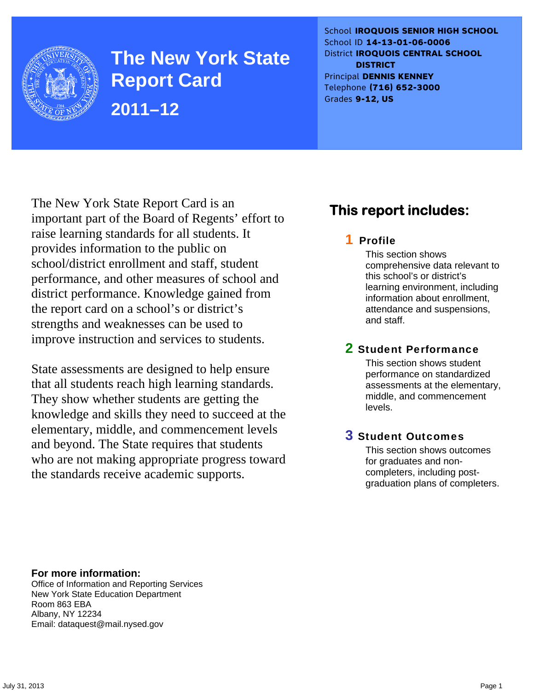

**The New York State Report Card 2011–12** 

School **IROQUOIS SENIOR HIGH SCHOOL** School ID **14-13-01-06-0006** District **IROQUOIS CENTRAL SCHOOL DISTRICT** Principal **DENNIS KENNEY** Telephone **(716) 652-3000** Grades **9-12, US**

The New York State Report Card is an important part of the Board of Regents' effort to raise learning standards for all students. It provides information to the public on school/district enrollment and staff, student performance, and other measures of school and district performance. Knowledge gained from the report card on a school's or district's strengths and weaknesses can be used to improve instruction and services to students.

State assessments are designed to help ensure that all students reach high learning standards. They show whether students are getting the knowledge and skills they need to succeed at the elementary, middle, and commencement levels and beyond. The State requires that students who are not making appropriate progress toward the standards receive academic supports.

# **This report includes:**

### 1 Profile

This section shows comprehensive data relevant to this school's or district's learning environment, including information about enrollment, attendance and suspensions, and staff.

### 2 Student Performance

This section shows student performance on standardized assessments at the elementary, middle, and commencement levels.

### 3 Student Outcomes

This section shows outcomes for graduates and noncompleters, including postgraduation plans of completers.

**For more information:**  Office of Information and Reporting Services New York State Education Department Room 863 EBA Albany, NY 12234

Email: dataquest@mail.nysed.gov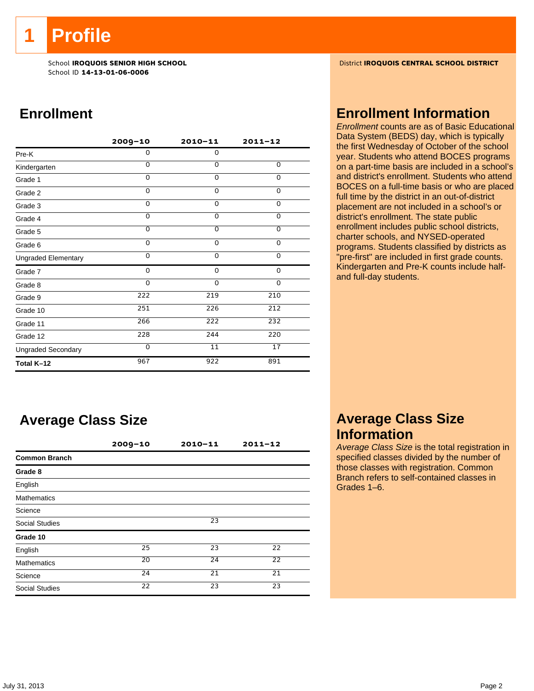**1 Profile** 

School ID **14-13-01-06-0006**

# **Enrollment**

|                            | 2009-10  | $2010 - 11$ | $2011 - 12$    |
|----------------------------|----------|-------------|----------------|
| Pre-K                      | 0        | 0           |                |
| Kindergarten               | $\Omega$ | $\Omega$    | 0              |
| Grade 1                    | 0        | $\Omega$    | $\Omega$       |
| Grade 2                    | $\Omega$ | $\mathbf 0$ | 0              |
| Grade 3                    | $\Omega$ | $\mathbf 0$ | 0              |
| Grade 4                    | $\Omega$ | $\Omega$    | 0              |
| Grade 5                    | 0        | $\mathbf 0$ | $\overline{0}$ |
| Grade 6                    | 0        | $\mathbf 0$ | 0              |
| <b>Ungraded Elementary</b> | 0        | $\mathbf 0$ | 0              |
| Grade 7                    | 0        | $\mathbf 0$ | 0              |
| Grade 8                    | 0        | $\mathbf 0$ | 0              |
| Grade 9                    | 222      | 219         | 210            |
| Grade 10                   | 251      | 226         | 212            |
| Grade 11                   | 266      | 222         | 232            |
| Grade 12                   | 228      | 244         | 220            |
| <b>Ungraded Secondary</b>  | $\Omega$ | 11          | 17             |
| Total K-12                 | 967      | 922         | 891            |

# **Average Class Size**

|                       | $2009 - 10$ | $2010 - 11$ | $2011 - 12$ |  |
|-----------------------|-------------|-------------|-------------|--|
| <b>Common Branch</b>  |             |             |             |  |
| Grade 8               |             |             |             |  |
| English               |             |             |             |  |
| <b>Mathematics</b>    |             |             |             |  |
| Science               |             |             |             |  |
| <b>Social Studies</b> |             | 23          |             |  |
| Grade 10              |             |             |             |  |
| English               | 25          | 23          | 22          |  |
| <b>Mathematics</b>    | 20          | 24          | 22          |  |
| Science               | 24          | 21          | 21          |  |
| <b>Social Studies</b> | 22          | 23          | 23          |  |

School **IROQUOIS SENIOR HIGH SCHOOL** District **IROQUOIS CENTRAL SCHOOL DISTRICT**

### **Enrollment Information**

*Enrollment* counts are as of Basic Educational Data System (BEDS) day, which is typically the first Wednesday of October of the school year. Students who attend BOCES programs on a part-time basis are included in a school's and district's enrollment. Students who attend BOCES on a full-time basis or who are placed full time by the district in an out-of-district placement are not included in a school's or district's enrollment. The state public enrollment includes public school districts, charter schools, and NYSED-operated programs. Students classified by districts as "pre-first" are included in first grade counts. Kindergarten and Pre-K counts include halfand full-day students.

## **Average Class Size Information**

*Average Class Size* is the total registration in specified classes divided by the number of those classes with registration. Common Branch refers to self-contained classes in Grades 1–6.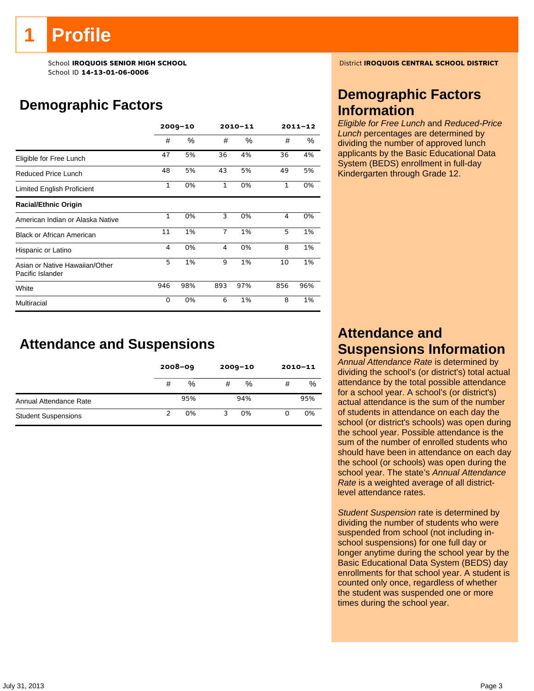# **Profile**

School ID **14-13-01-06-0006**

# **Demographic Factors**

|                                                    | $2009 - 10$  |     | $2010 - 11$    |      | $2011 - 12$ |     |
|----------------------------------------------------|--------------|-----|----------------|------|-------------|-----|
|                                                    | #            | %   | #              | $\%$ | #           | %   |
| Eligible for Free Lunch                            | 47           | 5%  | 36             | 4%   | 36          | 4%  |
| Reduced Price Lunch                                | 48           | 5%  | 43             | 5%   | 49          | 5%  |
| Limited English Proficient                         | $\mathbf{1}$ | 0%  | $\mathbf{1}$   | 0%   | 1           | 0%  |
| <b>Racial/Ethnic Origin</b>                        |              |     |                |      |             |     |
| American Indian or Alaska Native                   | $\mathbf{1}$ | 0%  | 3              | 0%   | 4           | 0%  |
| <b>Black or African American</b>                   | 11           | 1%  | $\overline{7}$ | 1%   | 5           | 1%  |
| Hispanic or Latino                                 | 4            | 0%  | 4              | 0%   | 8           | 1%  |
| Asian or Native Hawaiian/Other<br>Pacific Islander | 5            | 1%  | 9              | 1%   | 10          | 1%  |
| White                                              | 946          | 98% | 893            | 97%  | 856         | 96% |
| Multiracial                                        | 0            | 0%  | 6              | 1%   | 8           | 1%  |

# **Attendance and Suspensions**

|                            |   | $2008 - 09$ | $2009 - 10$ |     | $2010 - 11$ |     |
|----------------------------|---|-------------|-------------|-----|-------------|-----|
|                            | # | %           | #           | %   | #           | %   |
| Annual Attendance Rate     |   | 95%         |             | 94% |             | 95% |
| <b>Student Suspensions</b> |   | 0%          | 3           | 0%  | 0           | 0%  |

School **IROQUOIS SENIOR HIGH SCHOOL** District **IROQUOIS CENTRAL SCHOOL DISTRICT**

# **Demographic Factors Information**

*Eligible for Free Lunch* and *Reduced-Price Lunch* percentages are determined by dividing the number of approved lunch applicants by the Basic Educational Data System (BEDS) enrollment in full-day Kindergarten through Grade 12.

# **Attendance and Suspensions Information**

*Annual Attendance Rate* is determined by dividing the school's (or district's) total actual attendance by the total possible attendance for a school year. A school's (or district's) actual attendance is the sum of the number of students in attendance on each day the school (or district's schools) was open during the school year. Possible attendance is the sum of the number of enrolled students who should have been in attendance on each day the school (or schools) was open during the school year. The state's *Annual Attendance Rate* is a weighted average of all districtlevel attendance rates.

*Student Suspension* rate is determined by dividing the number of students who were suspended from school (not including inschool suspensions) for one full day or longer anytime during the school year by the Basic Educational Data System (BEDS) day enrollments for that school year. A student is counted only once, regardless of whether the student was suspended one or more times during the school year.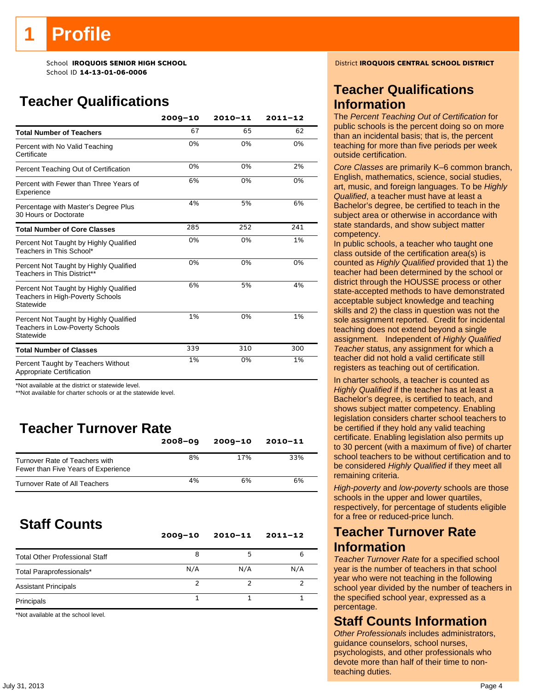# **Profile**

School ID **14-13-01-06-0006**

# **Teacher Qualifications**

|                                                                                               | $2009 - 10$ | $2010 - 11$ | $2011 - 12$ |
|-----------------------------------------------------------------------------------------------|-------------|-------------|-------------|
| <b>Total Number of Teachers</b>                                                               | 67          | 65          | 62          |
| Percent with No Valid Teaching<br>Certificate                                                 | 0%          | 0%          | 0%          |
| Percent Teaching Out of Certification                                                         | 0%          | 0%          | 2%          |
| Percent with Fewer than Three Years of<br>Experience                                          | 6%          | 0%          | 0%          |
| Percentage with Master's Degree Plus<br>30 Hours or Doctorate                                 | 4%          | 5%          | 6%          |
| <b>Total Number of Core Classes</b>                                                           | 285         | 252         | 241         |
| Percent Not Taught by Highly Qualified<br>Teachers in This School*                            | 0%          | 0%          | 1%          |
| Percent Not Taught by Highly Qualified<br>Teachers in This District**                         | 0%          | 0%          | 0%          |
| Percent Not Taught by Highly Qualified<br>Teachers in High-Poverty Schools<br>Statewide       | 6%          | 5%          | 4%          |
| Percent Not Taught by Highly Qualified<br><b>Teachers in Low-Poverty Schools</b><br>Statewide | 1%          | 0%          | 1%          |
| <b>Total Number of Classes</b>                                                                | 339         | 310         | 300         |
| Percent Taught by Teachers Without<br>Appropriate Certification                               | 1%          | 0%          | 1%          |

\*Not available at the district or statewide level.

\*\*Not available for charter schools or at the statewide level.

# **Teacher Turnover Rate**

|                                                                       | $2008 - 09$ | $2009 - 10$ | $2010 - 11$ |
|-----------------------------------------------------------------------|-------------|-------------|-------------|
| Turnover Rate of Teachers with<br>Fewer than Five Years of Experience | 8%          | 17%         | 33%         |
| Turnover Rate of All Teachers                                         | 4%          | 6%          | 6%          |

# **Staff Counts**

|                                       | $2009 - 10$ | $2010 - 11$ | $2011 - 12$ |
|---------------------------------------|-------------|-------------|-------------|
| <b>Total Other Professional Staff</b> | 8           |             | 6           |
| Total Paraprofessionals*              | N/A         | N/A         | N/A         |
| <b>Assistant Principals</b>           |             |             | ∍           |
| Principals                            |             |             |             |

\*Not available at the school level.

School **IROQUOIS SENIOR HIGH SCHOOL** District **IROQUOIS CENTRAL SCHOOL DISTRICT**

## **Teacher Qualifications Information**

The *Percent Teaching Out of Certification* for public schools is the percent doing so on more than an incidental basis; that is, the percent teaching for more than five periods per week outside certification.

*Core Classes* are primarily K–6 common branch, English, mathematics, science, social studies, art, music, and foreign languages. To be *Highly Qualified*, a teacher must have at least a Bachelor's degree, be certified to teach in the subject area or otherwise in accordance with state standards, and show subject matter competency.

In public schools, a teacher who taught one class outside of the certification area(s) is counted as *Highly Qualified* provided that 1) the teacher had been determined by the school or district through the HOUSSE process or other state-accepted methods to have demonstrated acceptable subject knowledge and teaching skills and 2) the class in question was not the sole assignment reported. Credit for incidental teaching does not extend beyond a single assignment. Independent of *Highly Qualified Teacher* status, any assignment for which a teacher did not hold a valid certificate still registers as teaching out of certification.

In charter schools, a teacher is counted as *Highly Qualified* if the teacher has at least a Bachelor's degree, is certified to teach, and shows subject matter competency. Enabling legislation considers charter school teachers to be certified if they hold any valid teaching certificate. Enabling legislation also permits up to 30 percent (with a maximum of five) of charter school teachers to be without certification and to be considered *Highly Qualified* if they meet all remaining criteria.

*High-poverty* and *low-poverty* schools are those schools in the upper and lower quartiles, respectively, for percentage of students eligible for a free or reduced-price lunch.

### **Teacher Turnover Rate Information**

*Teacher Turnover Rate* for a specified school year is the number of teachers in that school year who were not teaching in the following school year divided by the number of teachers in the specified school year, expressed as a percentage.

### **Staff Counts Information**

*Other Professionals* includes administrators, guidance counselors, school nurses, psychologists, and other professionals who devote more than half of their time to nonteaching duties.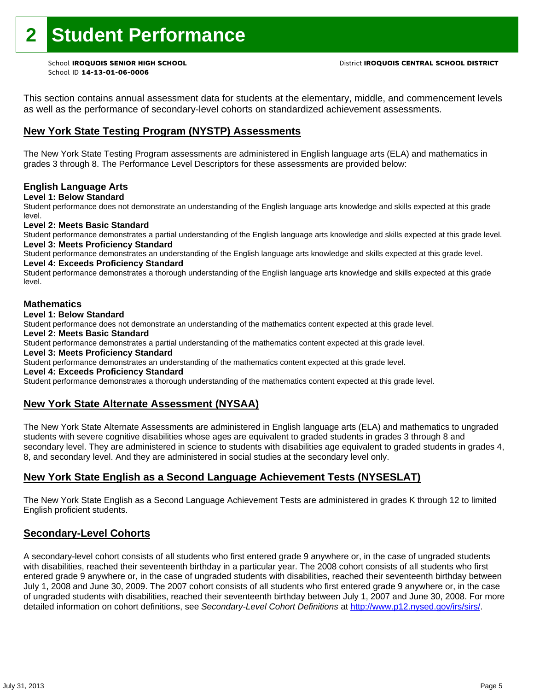# **2 Student Performance**

School ID **14-13-01-06-0006**

This section contains annual assessment data for students at the elementary, middle, and commencement levels as well as the performance of secondary-level cohorts on standardized achievement assessments.

### **New York State Testing Program (NYSTP) Assessments**

The New York State Testing Program assessments are administered in English language arts (ELA) and mathematics in grades 3 through 8. The Performance Level Descriptors for these assessments are provided below:

#### **English Language Arts**

**Level 1: Below Standard** 

Student performance does not demonstrate an understanding of the English language arts knowledge and skills expected at this grade level.

#### **Level 2: Meets Basic Standard**

Student performance demonstrates a partial understanding of the English language arts knowledge and skills expected at this grade level. **Level 3: Meets Proficiency Standard** 

Student performance demonstrates an understanding of the English language arts knowledge and skills expected at this grade level.

### **Level 4: Exceeds Proficiency Standard**

Student performance demonstrates a thorough understanding of the English language arts knowledge and skills expected at this grade level.

#### **Mathematics**

#### **Level 1: Below Standard**

Student performance does not demonstrate an understanding of the mathematics content expected at this grade level.

#### **Level 2: Meets Basic Standard**

Student performance demonstrates a partial understanding of the mathematics content expected at this grade level.

#### **Level 3: Meets Proficiency Standard**

Student performance demonstrates an understanding of the mathematics content expected at this grade level.

#### **Level 4: Exceeds Proficiency Standard**

Student performance demonstrates a thorough understanding of the mathematics content expected at this grade level.

#### **New York State Alternate Assessment (NYSAA)**

The New York State Alternate Assessments are administered in English language arts (ELA) and mathematics to ungraded students with severe cognitive disabilities whose ages are equivalent to graded students in grades 3 through 8 and secondary level. They are administered in science to students with disabilities age equivalent to graded students in grades 4, 8, and secondary level. And they are administered in social studies at the secondary level only.

### **New York State English as a Second Language Achievement Tests (NYSESLAT)**

The New York State English as a Second Language Achievement Tests are administered in grades K through 12 to limited English proficient students.

#### **Secondary-Level Cohorts**

A secondary-level cohort consists of all students who first entered grade 9 anywhere or, in the case of ungraded students with disabilities, reached their seventeenth birthday in a particular year. The 2008 cohort consists of all students who first entered grade 9 anywhere or, in the case of ungraded students with disabilities, reached their seventeenth birthday between July 1, 2008 and June 30, 2009. The 2007 cohort consists of all students who first entered grade 9 anywhere or, in the case of ungraded students with disabilities, reached their seventeenth birthday between July 1, 2007 and June 30, 2008. For more detailed information on cohort definitions, see *Secondary-Level Cohort Definitions* at http://www.p12.nysed.gov/irs/sirs/.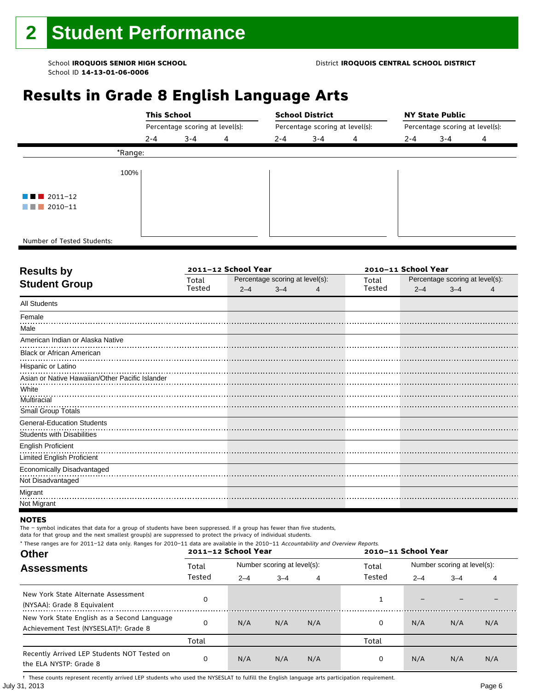# **Results in Grade 8 English Language Arts**

|                                       |         | <b>This School</b>              |   |         | <b>School District</b>          |   |         | <b>NY State Public</b>          |   |  |  |
|---------------------------------------|---------|---------------------------------|---|---------|---------------------------------|---|---------|---------------------------------|---|--|--|
|                                       |         | Percentage scoring at level(s): |   |         | Percentage scoring at level(s): |   |         | Percentage scoring at level(s): |   |  |  |
|                                       | $2 - 4$ | $3 - 4$                         | 4 | $2 - 4$ | $3 - 4$                         | 4 | $2 - 4$ | $3 - 4$                         | 4 |  |  |
| *Range:                               |         |                                 |   |         |                                 |   |         |                                 |   |  |  |
| 100%                                  |         |                                 |   |         |                                 |   |         |                                 |   |  |  |
| $\blacksquare$ $\blacksquare$ 2011-12 |         |                                 |   |         |                                 |   |         |                                 |   |  |  |
| $2010 - 11$<br>a shekara              |         |                                 |   |         |                                 |   |         |                                 |   |  |  |
|                                       |         |                                 |   |         |                                 |   |         |                                 |   |  |  |
| Number of Tested Students:            |         |                                 |   |         |                                 |   |         |                                 |   |  |  |

٦

|        |         |         | 2010-11 School Year |                                 |         |         |                                 |
|--------|---------|---------|---------------------|---------------------------------|---------|---------|---------------------------------|
| Total  |         |         |                     | Total                           |         |         |                                 |
| Tested | $2 - 4$ | $3 - 4$ |                     | Tested                          | $2 - 4$ | $3 - 4$ |                                 |
|        |         |         |                     |                                 |         |         |                                 |
|        |         |         |                     |                                 |         |         |                                 |
|        |         |         |                     |                                 |         |         |                                 |
|        |         |         |                     |                                 |         |         |                                 |
|        |         |         |                     |                                 |         |         |                                 |
|        |         |         |                     |                                 |         |         |                                 |
|        |         |         |                     |                                 |         |         |                                 |
|        |         |         |                     |                                 |         |         |                                 |
|        |         |         |                     |                                 |         |         |                                 |
|        |         |         |                     |                                 |         |         |                                 |
|        |         |         |                     |                                 |         |         |                                 |
|        |         |         |                     |                                 |         |         |                                 |
|        |         |         |                     |                                 |         |         |                                 |
|        |         |         |                     |                                 |         |         |                                 |
|        |         |         |                     |                                 |         |         |                                 |
|        |         |         |                     |                                 |         |         |                                 |
|        |         |         |                     |                                 |         |         |                                 |
|        |         |         |                     |                                 |         |         |                                 |
|        |         |         | 2011-12 School Year | Percentage scoring at level(s): |         |         | Percentage scoring at level(s): |

#### **NOTES**

The – symbol indicates that data for a group of students have been suppressed. If a group has fewer than five students,

data for that group and the next smallest group(s) are suppressed to protect the privacy of individual students.

| <b>Other</b>                                                                                      |        | * These ranges are for 2011-12 data only. Ranges for 2010-11 data are available in the 2010-11 Accountability and Overview Reports.<br>2011-12 School Year |                             |     |        |         | 2010-11 School Year         |     |  |  |
|---------------------------------------------------------------------------------------------------|--------|------------------------------------------------------------------------------------------------------------------------------------------------------------|-----------------------------|-----|--------|---------|-----------------------------|-----|--|--|
| <b>Assessments</b>                                                                                | Total  |                                                                                                                                                            | Number scoring at level(s): |     |        |         | Number scoring at level(s): |     |  |  |
|                                                                                                   | Tested | $2 - 4$                                                                                                                                                    | $3 - 4$                     | 4   | Tested | $2 - 4$ | $3 - 4$                     | 4   |  |  |
| New York State Alternate Assessment<br>(NYSAA): Grade 8 Equivalent                                |        |                                                                                                                                                            |                             |     |        |         |                             |     |  |  |
| New York State English as a Second Language<br>Achievement Test (NYSESLAT) <sup>†</sup> : Grade 8 |        | N/A                                                                                                                                                        | N/A                         | N/A | 0      | N/A     | N/A                         | N/A |  |  |
|                                                                                                   | Total  |                                                                                                                                                            |                             |     | Total  |         |                             |     |  |  |
| Recently Arrived LEP Students NOT Tested on<br>the ELA NYSTP: Grade 8                             | 0      | N/A                                                                                                                                                        | N/A                         | N/A | 0      | N/A     | N/A                         | N/A |  |  |

July 31, 2013 Page 6 † These counts represent recently arrived LEP students who used the NYSESLAT to fulfill the English language arts participation requirement.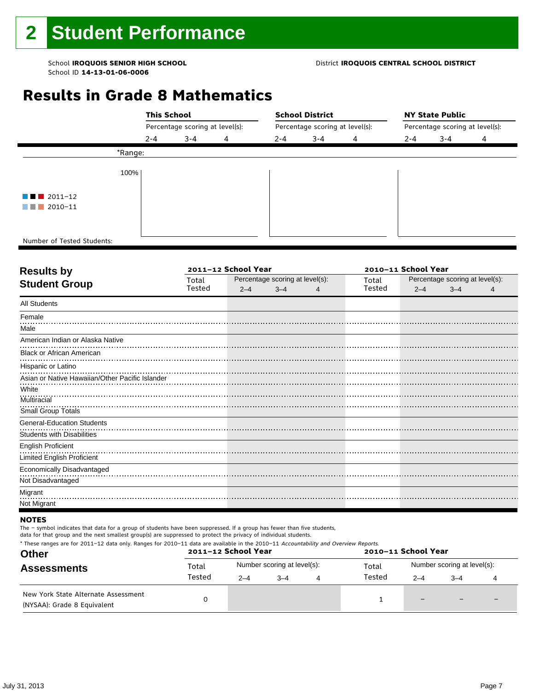#### School **IROQUOIS SENIOR HIGH SCHOOL** District **IROQUOIS CENTRAL SCHOOL DISTRICT**

# **Results in Grade 8 Mathematics**

|                                       |         | <b>This School</b>              |   |                                 | <b>School District</b> |   | <b>NY State Public</b>          |         |   |  |
|---------------------------------------|---------|---------------------------------|---|---------------------------------|------------------------|---|---------------------------------|---------|---|--|
|                                       |         | Percentage scoring at level(s): |   | Percentage scoring at level(s): |                        |   | Percentage scoring at level(s): |         |   |  |
|                                       | 2-4     | $3 - 4$                         | 4 | $2 - 4$                         | $3 - 4$                | 4 | $2 - 4$                         | $3 - 4$ | 4 |  |
|                                       | *Range: |                                 |   |                                 |                        |   |                                 |         |   |  |
|                                       | 100%    |                                 |   |                                 |                        |   |                                 |         |   |  |
| $\blacksquare$ $\blacksquare$ 2011-12 |         |                                 |   |                                 |                        |   |                                 |         |   |  |
| $\blacksquare$ 2010-11                |         |                                 |   |                                 |                        |   |                                 |         |   |  |
|                                       |         |                                 |   |                                 |                        |   |                                 |         |   |  |
| Number of Tested Students:            |         |                                 |   |                                 |                        |   |                                 |         |   |  |

٦

| <b>Results by</b>                               |        | 2011-12 School Year |                                 | 2010-11 School Year |        |         |                                 |  |
|-------------------------------------------------|--------|---------------------|---------------------------------|---------------------|--------|---------|---------------------------------|--|
| <b>Student Group</b>                            | Total  |                     | Percentage scoring at level(s): |                     |        |         | Percentage scoring at level(s): |  |
|                                                 | Tested | $2 - 4$             | $3 - 4$                         | 4                   | Tested | $2 - 4$ | $3 - 4$                         |  |
| <b>All Students</b>                             |        |                     |                                 |                     |        |         |                                 |  |
| Female                                          |        |                     |                                 |                     |        |         |                                 |  |
| Male                                            |        |                     |                                 |                     |        |         |                                 |  |
| American Indian or Alaska Native                |        |                     |                                 |                     |        |         |                                 |  |
| <b>Black or African American</b>                |        |                     |                                 |                     |        |         |                                 |  |
| Hispanic or Latino                              |        |                     |                                 |                     |        |         |                                 |  |
| Asian or Native Hawaiian/Other Pacific Islander |        |                     |                                 |                     |        |         |                                 |  |
| White                                           |        |                     |                                 |                     |        |         |                                 |  |
| Multiracial                                     |        |                     |                                 |                     |        |         |                                 |  |
| Small Group Totals                              |        |                     |                                 |                     |        |         |                                 |  |
| <b>General-Education Students</b>               |        |                     |                                 |                     |        |         |                                 |  |
| <b>Students with Disabilities</b>               |        |                     |                                 |                     |        |         |                                 |  |
| <b>English Proficient</b>                       |        |                     |                                 |                     |        |         |                                 |  |
| <b>Limited English Proficient</b>               |        |                     |                                 |                     |        |         |                                 |  |
| Economically Disadvantaged                      |        |                     |                                 |                     |        |         |                                 |  |
| Not Disadvantaged                               |        |                     |                                 |                     |        |         |                                 |  |
| Migrant                                         |        |                     |                                 |                     |        |         |                                 |  |
| Not Migrant                                     |        |                     |                                 |                     |        |         |                                 |  |
|                                                 |        |                     |                                 |                     |        |         |                                 |  |

#### **NOTES**

The – symbol indicates that data for a group of students have been suppressed. If a group has fewer than five students,

| * These ranges are for 2011–12 data only. Ranges for 2010–11 data are available in the 2010–11 Accountability and Overview Reports.<br><b>Other</b> |        | 2011-12 School Year |                             | 2010-11 School Year |                              |      |  |  |
|-----------------------------------------------------------------------------------------------------------------------------------------------------|--------|---------------------|-----------------------------|---------------------|------------------------------|------|--|--|
| <b>Assessments</b>                                                                                                                                  | Total  |                     | Number scoring at level(s): | Total               | Number scoring at level(s):  |      |  |  |
|                                                                                                                                                     | Tested | $2 - 4$             | $3 - 4$                     | Tested              | $2 - 4$                      | $-4$ |  |  |
| New York State Alternate Assessment<br>(NYSAA): Grade 8 Equivalent                                                                                  |        |                     |                             |                     | $\qquad \qquad \blacksquare$ |      |  |  |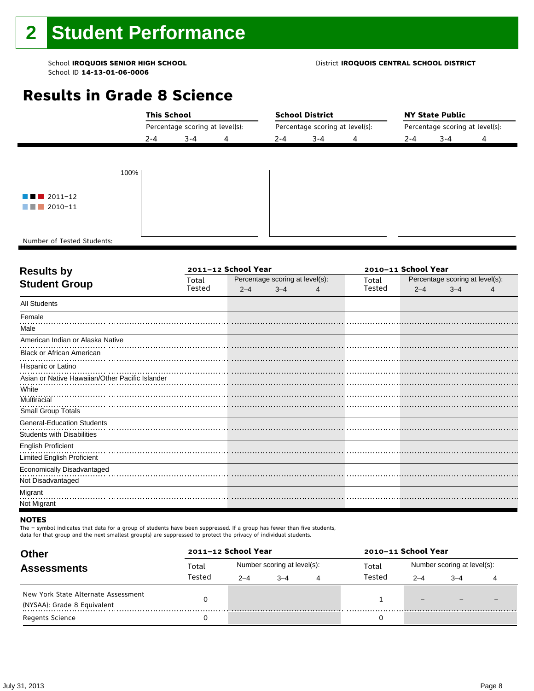#### School **IROQUOIS SENIOR HIGH SCHOOL** District **IROQUOIS CENTRAL SCHOOL DISTRICT**

# **Results in Grade 8 Science**

|                                       | <b>This School</b>              |         |   |                                 | <b>School District</b> |   | <b>NY State Public</b><br>Percentage scoring at level(s): |         |   |  |
|---------------------------------------|---------------------------------|---------|---|---------------------------------|------------------------|---|-----------------------------------------------------------|---------|---|--|
|                                       | Percentage scoring at level(s): |         |   | Percentage scoring at level(s): |                        |   |                                                           |         |   |  |
|                                       | $2 - 4$                         | $3 - 4$ | 4 | $2 - 4$                         | $3 - 4$                | 4 | $2 - 4$                                                   | $3 - 4$ | 4 |  |
|                                       |                                 |         |   |                                 |                        |   |                                                           |         |   |  |
| 100%                                  |                                 |         |   |                                 |                        |   |                                                           |         |   |  |
|                                       |                                 |         |   |                                 |                        |   |                                                           |         |   |  |
| $\blacksquare$ $\blacksquare$ 2011-12 |                                 |         |   |                                 |                        |   |                                                           |         |   |  |
| $\blacksquare$ 2010-11                |                                 |         |   |                                 |                        |   |                                                           |         |   |  |
|                                       |                                 |         |   |                                 |                        |   |                                                           |         |   |  |
| Number of Tested Students:            |                                 |         |   |                                 |                        |   |                                                           |         |   |  |

٦

| <b>Results by</b>                               |        | 2011-12 School Year |                                 |   | 2010-11 School Year |         |                                 |  |  |
|-------------------------------------------------|--------|---------------------|---------------------------------|---|---------------------|---------|---------------------------------|--|--|
| <b>Student Group</b>                            | Total  |                     | Percentage scoring at level(s): |   | Total               |         | Percentage scoring at level(s): |  |  |
|                                                 | Tested | $2 - 4$             | $3 - 4$                         | 4 | Tested              | $2 - 4$ | $3 - 4$                         |  |  |
| <b>All Students</b>                             |        |                     |                                 |   |                     |         |                                 |  |  |
| Female                                          |        |                     |                                 |   |                     |         |                                 |  |  |
| Male                                            |        |                     |                                 |   |                     |         |                                 |  |  |
| American Indian or Alaska Native                |        |                     |                                 |   |                     |         |                                 |  |  |
| <b>Black or African American</b>                |        |                     |                                 |   |                     |         |                                 |  |  |
| Hispanic or Latino                              |        |                     |                                 |   |                     |         |                                 |  |  |
| Asian or Native Hawaiian/Other Pacific Islander |        |                     |                                 |   |                     |         |                                 |  |  |
| White                                           |        |                     |                                 |   |                     |         |                                 |  |  |
| Multiracial                                     |        |                     |                                 |   |                     |         |                                 |  |  |
| Small Group Totals                              |        |                     |                                 |   |                     |         |                                 |  |  |
| <b>General-Education Students</b>               |        |                     |                                 |   |                     |         |                                 |  |  |
| <b>Students with Disabilities</b>               |        |                     |                                 |   |                     |         |                                 |  |  |
| <b>English Proficient</b>                       |        |                     |                                 |   |                     |         |                                 |  |  |
| <b>Limited English Proficient</b>               |        |                     |                                 |   |                     |         |                                 |  |  |
| Economically Disadvantaged                      |        |                     |                                 |   |                     |         |                                 |  |  |
| Not Disadvantaged                               |        |                     |                                 |   |                     |         |                                 |  |  |
| Migrant                                         |        |                     |                                 |   |                     |         |                                 |  |  |
| Not Migrant                                     |        |                     |                                 |   |                     |         |                                 |  |  |

#### **NOTES**

The – symbol indicates that data for a group of students have been suppressed. If a group has fewer than five students,

| <b>Other</b>                                                       | 2011-12 School Year |         |                             |   | 2010-11 School Year |                             |      |  |
|--------------------------------------------------------------------|---------------------|---------|-----------------------------|---|---------------------|-----------------------------|------|--|
| <b>Assessments</b>                                                 | Total               |         | Number scoring at level(s): |   | Total               | Number scoring at level(s): |      |  |
|                                                                    | Tested              | $2 - 4$ | $-4$                        | 4 | Tested              | $2 - 4$                     | $-4$ |  |
| New York State Alternate Assessment<br>(NYSAA): Grade 8 Equivalent |                     |         |                             |   |                     | $\qquad \qquad -$           |      |  |
| <b>Regents Science</b>                                             |                     |         |                             |   |                     |                             |      |  |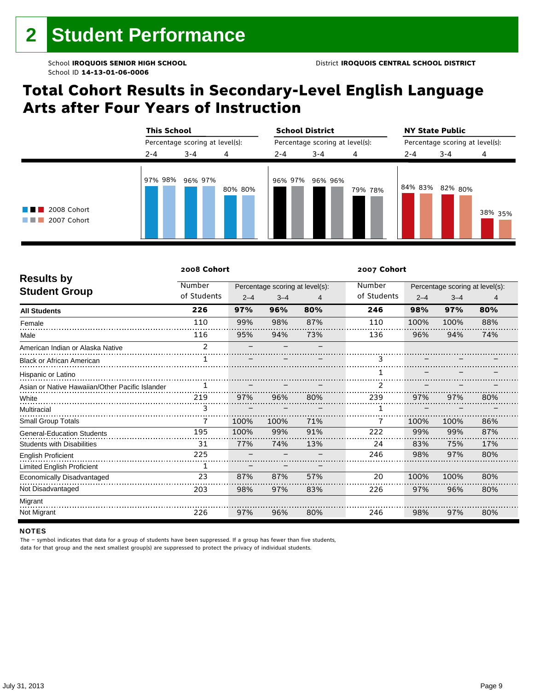# **Total Cohort Results in Secondary-Level English Language Arts after Four Years of Instruction**

|                                                      | <b>This School</b><br>Percentage scoring at level(s): |         |         |         | <b>School District</b>          |         | <b>NY State Public</b><br>Percentage scoring at level(s): |         |         |  |
|------------------------------------------------------|-------------------------------------------------------|---------|---------|---------|---------------------------------|---------|-----------------------------------------------------------|---------|---------|--|
|                                                      |                                                       |         |         |         | Percentage scoring at level(s): |         |                                                           |         |         |  |
|                                                      | $2 - 4$                                               | $3 - 4$ | 4       | $2 - 4$ | $3 - 4$                         | 4       | $2 - 4$                                                   | $3 - 4$ | 4       |  |
| 2008 Cohort<br><b>The Common</b><br>2007 Cohort<br>. | 97% 98%                                               | 96% 97% | 80% 80% | 96% 97% | 96% 96%                         | 79% 78% | 84% 83%                                                   | 82% 80% | 38% 35% |  |

|                                                 | 2008 Cohort   |         |                                 |     | 2007 Cohort    |         |                                 |     |  |
|-------------------------------------------------|---------------|---------|---------------------------------|-----|----------------|---------|---------------------------------|-----|--|
| <b>Results by</b>                               | Number        |         | Percentage scoring at level(s): |     | Number         |         | Percentage scoring at level(s): |     |  |
| <b>Student Group</b>                            | of Students   | $2 - 4$ | $3 - 4$                         | 4   | of Students    | $2 - 4$ | $3 - 4$                         | 4   |  |
| <b>All Students</b>                             | 226           | 97%     | 96%                             | 80% | 246            | 98%     | 97%                             | 80% |  |
| Female                                          | 110           | 99%     | 98%                             | 87% | 110            | 100%    | 100%                            | 88% |  |
| Male                                            | 116           | 95%     | 94%                             | 73% | 136            | 96%     | 94%                             | 74% |  |
| American Indian or Alaska Native                | $\mathcal{P}$ |         |                                 |     |                |         |                                 |     |  |
| <b>Black or African American</b>                |               |         |                                 |     | ٩              |         |                                 |     |  |
| Hispanic or Latino                              |               |         |                                 |     |                |         |                                 |     |  |
| Asian or Native Hawaiian/Other Pacific Islander |               |         |                                 |     | $\overline{2}$ |         |                                 |     |  |
| White                                           | 219           | 97%     | 96%                             | 80% | 239            | 97%     | 97%                             | 80% |  |
| Multiracial                                     | 3             |         |                                 |     |                |         |                                 |     |  |
| Small Group Totals                              |               | 100%    | 100%                            | 71% |                | 100%    | 100%                            | 86% |  |
| <b>General-Education Students</b>               | 195           | 100%    | 99%                             | 91% | 222            | 99%     | 99%                             | 87% |  |
| <b>Students with Disabilities</b>               | 31            | 77%     | 74%                             | 13% | 24             | 83%     | 75%                             | 17% |  |
| <b>English Proficient</b>                       | 225           |         |                                 |     | 246            | 98%     | 97%                             | 80% |  |
| <b>Limited English Proficient</b>               | 1             |         |                                 |     |                |         |                                 |     |  |
| Economically Disadvantaged                      | 23            | 87%     | 87%                             | 57% | 20             | 100%    | 100%                            | 80% |  |
| Not Disadvantaged                               | 203           | 98%     | 97%                             | 83% | 226            | 97%     | 96%                             | 80% |  |
| Migrant                                         |               |         |                                 |     |                |         |                                 |     |  |
| Not Migrant                                     | 226           | 97%     | 96%                             | 80% | 246            | 98%     | 97%                             | 80% |  |

#### **NOTES**

The – symbol indicates that data for a group of students have been suppressed. If a group has fewer than five students,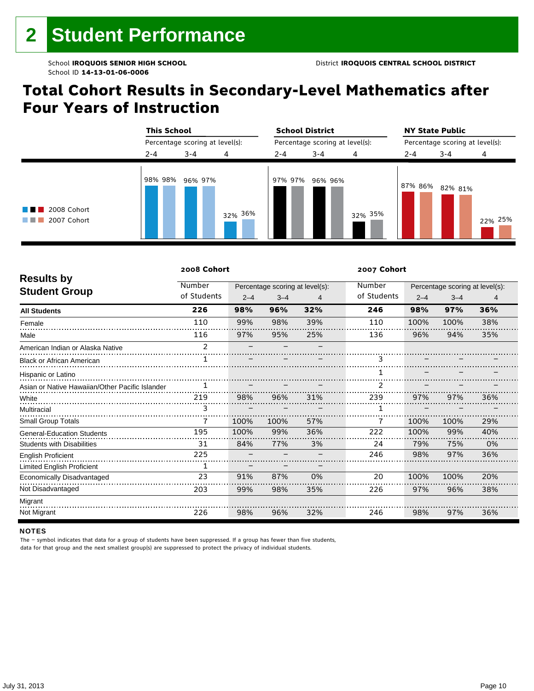# **Total Cohort Results in Secondary-Level Mathematics after Four Years of Instruction**

|                                                |         | <b>This School</b><br>Percentage scoring at level(s): |         |         | <b>School District</b>          |         | <b>NY State Public</b><br>Percentage scoring at level(s): |         |         |  |
|------------------------------------------------|---------|-------------------------------------------------------|---------|---------|---------------------------------|---------|-----------------------------------------------------------|---------|---------|--|
|                                                |         |                                                       |         |         | Percentage scoring at level(s): |         |                                                           |         |         |  |
|                                                | $2 - 4$ | $3 - 4$                                               | 4       | $2 - 4$ | $3 - 4$                         | 4       | $2 - 4$                                                   | $3 - 4$ | 4       |  |
| $\blacksquare$ 2008 Cohort<br>2007 Cohort<br>. | 98% 98% | 96% 97%                                               | 32% 36% | 97% 97% | 96% 96%                         | 32% 35% | 87% 86%                                                   | 82% 81% | 22% 25% |  |

|                                                 | 2008 Cohort   |         |                                 |     | 2007 Cohort    |         |                                 |     |  |
|-------------------------------------------------|---------------|---------|---------------------------------|-----|----------------|---------|---------------------------------|-----|--|
| <b>Results by</b>                               | Number        |         | Percentage scoring at level(s): |     | Number         |         | Percentage scoring at level(s): |     |  |
| <b>Student Group</b>                            | of Students   | $2 - 4$ | $3 - 4$                         | 4   | of Students    | $2 - 4$ | $3 - 4$                         | 4   |  |
| <b>All Students</b>                             | 226           | 98%     | 96%                             | 32% | 246            | 98%     | 97%                             | 36% |  |
| Female                                          | 110           | 99%     | 98%                             | 39% | 110            | 100%    | 100%                            | 38% |  |
| Male                                            | 116           | 97%     | 95%                             | 25% | 136            | 96%     | 94%                             | 35% |  |
| American Indian or Alaska Native                | $\mathcal{P}$ |         |                                 |     |                |         |                                 |     |  |
| <b>Black or African American</b>                |               |         |                                 |     | ٩              |         |                                 |     |  |
| Hispanic or Latino                              |               |         |                                 |     |                |         |                                 |     |  |
| Asian or Native Hawaiian/Other Pacific Islander |               |         |                                 |     | $\overline{2}$ |         |                                 |     |  |
| White                                           | 219           | 98%     | 96%                             | 31% | 239            | 97%     | 97%                             | 36% |  |
| Multiracial                                     | 3             |         |                                 |     |                |         |                                 |     |  |
| Small Group Totals                              |               | 100%    | 100%                            | 57% |                | 100%    | 100%                            | 29% |  |
| <b>General-Education Students</b>               | 195           | 100%    | 99%                             | 36% | 222            | 100%    | 99%                             | 40% |  |
| <b>Students with Disabilities</b>               | 31            | 84%     | 77%                             | 3%  | 24             | 79%     | 75%                             | 0%  |  |
| <b>English Proficient</b>                       | 225           |         |                                 |     | 246            | 98%     | 97%                             | 36% |  |
| <b>Limited English Proficient</b>               | 1             |         |                                 |     |                |         |                                 |     |  |
| Economically Disadvantaged                      | 23            | 91%     | 87%                             | 0%  | 20             | 100%    | 100%                            | 20% |  |
| Not Disadvantaged                               | 203           | 99%     | 98%                             | 35% | 226            | 97%     | 96%                             | 38% |  |
| Migrant                                         |               |         |                                 |     |                |         |                                 |     |  |
| Not Migrant                                     | 226           | 98%     | 96%                             | 32% | 246            | 98%     | 97%                             | 36% |  |

#### **NOTES**

The – symbol indicates that data for a group of students have been suppressed. If a group has fewer than five students,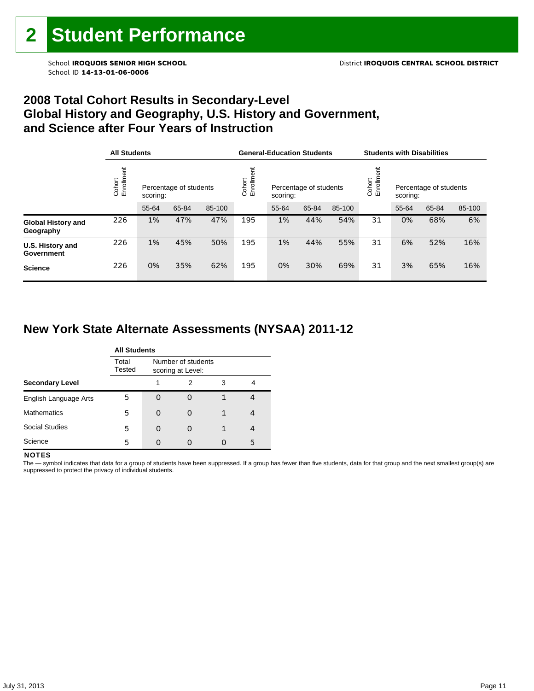### **2008 Total Cohort Results in Secondary-Level Global History and Geography, U.S. History and Government, and Science after Four Years of Instruction**

|                                        |                      | <b>All Students</b> |                        |        |                      | <b>General-Education Students</b> |                        |        |                    | <b>Students with Disabilities</b>  |       |        |  |
|----------------------------------------|----------------------|---------------------|------------------------|--------|----------------------|-----------------------------------|------------------------|--------|--------------------|------------------------------------|-------|--------|--|
|                                        | Cohort<br>Enrollment | scoring:            | Percentage of students |        | Enrollment<br>Cohort | scoring:                          | Percentage of students |        | Cohort<br>Enrollme | Percentage of students<br>scoring: |       |        |  |
|                                        |                      | 55-64               | 65-84                  | 85-100 |                      | 55-64                             | 65-84                  | 85-100 |                    | 55-64                              | 65-84 | 85-100 |  |
| <b>Global History and</b><br>Geography | 226                  | 1%                  | 47%                    | 47%    | 195                  | 1%                                | 44%                    | 54%    | 31                 | 0%                                 | 68%   | 6%     |  |
| U.S. History and<br>Government         | 226                  | 1%                  | 45%                    | 50%    | 195                  | 1%                                | 44%                    | 55%    | 31                 | 6%                                 | 52%   | 16%    |  |
| <b>Science</b>                         | 226                  | 0%                  | 35%                    | 62%    | 195                  | 0%                                | 30%                    | 69%    | 31                 | 3%                                 | 65%   | 16%    |  |

# **New York State Alternate Assessments (NYSAA) 2011-12**

|                        | <b>All Students</b> |   |                                         |   |   |  |  |  |
|------------------------|---------------------|---|-----------------------------------------|---|---|--|--|--|
|                        | Total<br>Tested     |   | Number of students<br>scoring at Level: |   |   |  |  |  |
| <b>Secondary Level</b> |                     |   | 2                                       | 3 | 4 |  |  |  |
| English Language Arts  | 5                   |   | O                                       |   | 4 |  |  |  |
| <b>Mathematics</b>     | 5                   | O | O                                       |   | 4 |  |  |  |
| <b>Social Studies</b>  | 5                   |   | O                                       |   | 4 |  |  |  |
| Science                | 5                   |   | Ω                                       |   | 5 |  |  |  |

#### **NOTES**

The - symbol indicates that data for a group of students have been suppressed. If a group has fewer than five students, data for that group and the next smallest group(s) are suppressed to protect the privacy of individual students.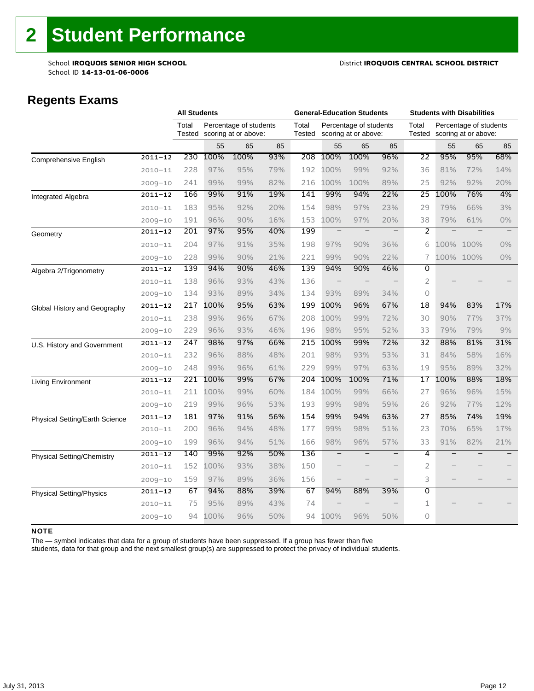#### School **IROQUOIS SENIOR HIGH SCHOOL** District **IROQUOIS CENTRAL SCHOOL DISTRICT**

### **Regents Exams**

|                                   |             |                 | <b>All Students</b> |                                                |     | <b>General-Education Students</b> |                          |                                                |                   | <b>Students with Disabilities</b> |                   |                                                |       |
|-----------------------------------|-------------|-----------------|---------------------|------------------------------------------------|-----|-----------------------------------|--------------------------|------------------------------------------------|-------------------|-----------------------------------|-------------------|------------------------------------------------|-------|
|                                   |             | Total<br>Tested |                     | Percentage of students<br>scoring at or above: |     | Total<br>Tested                   |                          | Percentage of students<br>scoring at or above: |                   | Total<br>Tested                   |                   | Percentage of students<br>scoring at or above: |       |
|                                   |             |                 | 55                  | 65                                             | 85  |                                   | 55                       | 65                                             | 85                |                                   | 55                | 65                                             | 85    |
| Comprehensive English             | $2011 - 12$ | 230             | 100%                | 100%                                           | 93% | 208                               | 100%                     | 100%                                           | 96%               | 22                                | 95%               | 95%                                            | 68%   |
|                                   | $2010 - 11$ | 228             | 97%                 | 95%                                            | 79% | 192                               | 100%                     | 99%                                            | 92%               | 36                                | 81%               | 72%                                            | 14%   |
|                                   | $2009 - 10$ | 241             | 99%                 | 99%                                            | 82% | 216                               | 100%                     | 100%                                           | 89%               | 25                                | 92%               | 92%                                            | 20%   |
| Integrated Algebra                | $2011 - 12$ | 166             | 99%                 | 91%                                            | 19% | 141                               | 99%                      | 94%                                            | 22%               | $\overline{25}$                   | 100%              | 76%                                            | 4%    |
|                                   | $2010 - 11$ | 183             | 95%                 | 92%                                            | 20% | 154                               | 98%                      | 97%                                            | 23%               | 29                                | 79%               | 66%                                            | 3%    |
|                                   | $2009 - 10$ | 191             | 96%                 | 90%                                            | 16% | 153                               | 100%                     | 97%                                            | 20%               | 38                                | 79%               | 61%                                            | $0\%$ |
| Geometry                          | $2011 - 12$ | 201             | 97%                 | 95%                                            | 40% | 199                               | $\overline{\phantom{0}}$ | $\equiv$                                       | $\qquad \qquad -$ | 2                                 | $\qquad \qquad -$ |                                                |       |
|                                   | $2010 - 11$ | 204             | 97%                 | 91%                                            | 35% | 198                               | 97%                      | 90%                                            | 36%               | 6                                 |                   | 100% 100%                                      | $0\%$ |
|                                   | $2009 - 10$ | 228             | 99%                 | 90%                                            | 21% | 221                               | 99%                      | 90%                                            | 22%               | 7                                 | 100%              | 100%                                           | $0\%$ |
| Algebra 2/Trigonometry            | $2011 - 12$ | 139             | 94%                 | 90%                                            | 46% | 139                               | 94%                      | 90%                                            | 46%               | $\overline{0}$                    |                   |                                                |       |
|                                   | $2010 - 11$ | 138             | 96%                 | 93%                                            | 43% | 136                               |                          |                                                |                   | $\overline{2}$                    |                   |                                                |       |
|                                   | $2009 - 10$ | 134             | 93%                 | 89%                                            | 34% | 134                               | 93%                      | 89%                                            | 34%               | 0                                 |                   |                                                |       |
| Global History and Geography      | $2011 - 12$ | 217             | 100%                | 95%                                            | 63% | 199                               | 100%                     | 96%                                            | 67%               | $\overline{18}$                   | 94%               | 83%                                            | 17%   |
|                                   | $2010 - 11$ | 238             | 99%                 | 96%                                            | 67% | 208                               | 100%                     | 99%                                            | 72%               | 30                                | 90%               | 77%                                            | 37%   |
|                                   | $2009 - 10$ | 229             | 96%                 | 93%                                            | 46% | 196                               | 98%                      | 95%                                            | 52%               | 33                                | 79%               | 79%                                            | 9%    |
| U.S. History and Government       | $2011 - 12$ | 247             | 98%                 | 97%                                            | 66% | 215                               | 100%                     | 99%                                            | 72%               | 32                                | 88%               | 81%                                            | 31%   |
|                                   | $2010 - 11$ | 232             | 96%                 | 88%                                            | 48% | 201                               | 98%                      | 93%                                            | 53%               | 31                                | 84%               | 58%                                            | 16%   |
|                                   | $2009 - 10$ | 248             | 99%                 | 96%                                            | 61% | 229                               | 99%                      | 97%                                            | 63%               | 19                                | 95%               | 89%                                            | 32%   |
| Living Environment                | $2011 - 12$ | 221             | 100%                | 99%                                            | 67% | 204                               | 100%                     | 100%                                           | 71%               | 17                                | 100%              | 88%                                            | 18%   |
|                                   | $2010 - 11$ | 211             | 100%                | 99%                                            | 60% | 184                               | 100%                     | 99%                                            | 66%               | 27                                | 96%               | 96%                                            | 15%   |
|                                   | $2009 - 10$ | 219             | 99%                 | 96%                                            | 53% | 193                               | 99%                      | 98%                                            | 59%               | 26                                | 92%               | 77%                                            | 12%   |
| Physical Setting/Earth Science    | $2011 - 12$ | 181             | 97%                 | 91%                                            | 56% | 154                               | 99%                      | 94%                                            | 63%               | $\overline{27}$                   | 85%               | 74%                                            | 19%   |
|                                   | $2010 - 11$ | 200             | 96%                 | 94%                                            | 48% | 177                               | 99%                      | 98%                                            | 51%               | 23                                | 70%               | 65%                                            | 17%   |
|                                   | $2009 - 10$ | 199             | 96%                 | 94%                                            | 51% | 166                               | 98%                      | 96%                                            | 57%               | 33                                | 91%               | 82%                                            | 21%   |
| <b>Physical Setting/Chemistry</b> | $2011 - 12$ | 140             | 99%                 | 92%                                            | 50% | 136                               |                          |                                                | -                 | 4                                 |                   |                                                |       |
|                                   | $2010 - 11$ | 152             | 100%                | 93%                                            | 38% | 150                               |                          |                                                | $\qquad \qquad -$ | $\overline{2}$                    |                   |                                                |       |
|                                   | $2009 - 10$ | 159             | 97%                 | 89%                                            | 36% | 156                               |                          |                                                | $\qquad \qquad -$ | 3                                 |                   |                                                |       |
| <b>Physical Setting/Physics</b>   | $2011 - 12$ | 67              | 94%                 | 88%                                            | 39% | 67                                | 94%                      | 88%                                            | 39%               | $\overline{0}$                    |                   |                                                |       |
|                                   | $2010 - 11$ | 75              | 95%                 | 89%                                            | 43% | 74                                |                          |                                                |                   | 1                                 |                   |                                                |       |
|                                   | $2009 - 10$ | 94              | 100%                | 96%                                            | 50% | 94                                | 100%                     | 96%                                            | 50%               | 0                                 |                   |                                                |       |

#### NOTE

The — symbol indicates that data for a group of students have been suppressed. If a group has fewer than five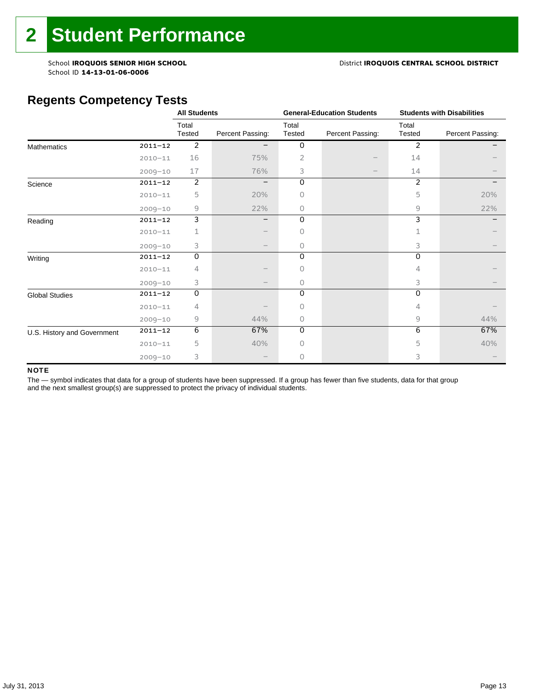#### School **IROQUOIS SENIOR HIGH SCHOOL** District **IROQUOIS CENTRAL SCHOOL DISTRICT**

# **Regents Competency Tests**

|                             |             | <b>All Students</b> |                   |                 | <b>General-Education Students</b> | <b>Students with Disabilities</b> |                  |
|-----------------------------|-------------|---------------------|-------------------|-----------------|-----------------------------------|-----------------------------------|------------------|
|                             |             | Total<br>Tested     | Percent Passing:  | Total<br>Tested | Percent Passing:                  | Total<br>Tested                   | Percent Passing: |
| <b>Mathematics</b>          | $2011 - 12$ | 2                   |                   | 0               |                                   | $\overline{2}$                    |                  |
|                             | $2010 - 11$ | 16                  | 75%               | 2               |                                   | 14                                |                  |
|                             | $2009 - 10$ | 17                  | 76%               | 3               |                                   | 14                                |                  |
| Science                     | $2011 - 12$ | 2                   | $\qquad \qquad -$ | 0               |                                   | $\overline{2}$                    |                  |
|                             | $2010 - 11$ | 5                   | 20%               | Ω               |                                   | 5                                 | 20%              |
|                             | $2009 - 10$ | 9                   | 22%               | 0               |                                   | 9                                 | 22%              |
| Reading                     | $2011 - 12$ | 3                   | —                 | 0               |                                   | 3                                 |                  |
|                             | $2010 - 11$ | 1                   |                   | 0               |                                   |                                   |                  |
|                             | $2009 - 10$ | 3                   |                   | $\Omega$        |                                   | 3                                 |                  |
| Writing                     | $2011 - 12$ | $\mathsf O$         |                   | $\Omega$        |                                   | $\Omega$                          |                  |
|                             | $2010 - 11$ | 4                   |                   | O               |                                   | 4                                 |                  |
|                             | $2009 - 10$ | 3                   |                   | 0               |                                   | 3                                 |                  |
| <b>Global Studies</b>       | $2011 - 12$ | 0                   |                   | 0               |                                   | 0                                 |                  |
|                             | $2010 - 11$ | 4                   |                   | 0               |                                   | 4                                 |                  |
|                             | $2009 - 10$ | 9                   | 44%               | 0               |                                   | 9                                 | 44%              |
| U.S. History and Government | $2011 - 12$ | 6                   | 67%               | 0               |                                   | 6                                 | 67%              |
|                             | $2010 - 11$ | 5                   | 40%               | 0               |                                   | 5                                 | 40%              |
|                             | $2009 - 10$ | 3                   |                   | 0               |                                   | 3                                 |                  |

#### NOTE

The - symbol indicates that data for a group of students have been suppressed. If a group has fewer than five students, data for that group and the next smallest group(s) are suppressed to protect the privacy of individual students.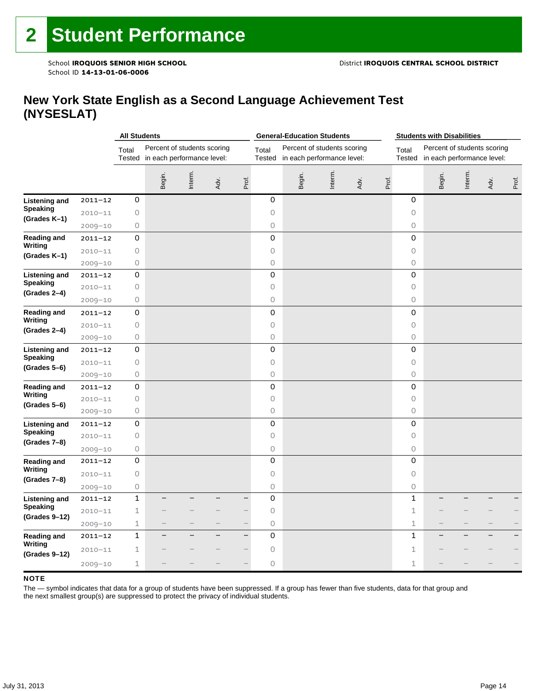### **New York State English as a Second Language Achievement Test (NYSESLAT)**

|                                                          |             | <b>All Students</b> |        |                                                           |      |                          | <b>General-Education Students</b> |        |                                                           |      | <b>Students with Disabilities</b> |                     |                                                           |        |      |       |
|----------------------------------------------------------|-------------|---------------------|--------|-----------------------------------------------------------|------|--------------------------|-----------------------------------|--------|-----------------------------------------------------------|------|-----------------------------------|---------------------|-----------------------------------------------------------|--------|------|-------|
|                                                          |             | Total<br>Tested     |        | Percent of students scoring<br>in each performance level: |      |                          | Total<br><b>Tested</b>            |        | Percent of students scoring<br>in each performance level: |      |                                   | Total<br>Tested     | Percent of students scoring<br>in each performance level: |        |      |       |
|                                                          |             |                     | Begin. | Interm.                                                   | Adv. | Prof.                    |                                   | Begin. | Interm.                                                   | Adv. | Prof.                             |                     | Begin.                                                    | Interm | Adv. | Prof. |
| <b>Listening and</b>                                     | $2011 - 12$ | 0                   |        |                                                           |      |                          | 0                                 |        |                                                           |      |                                   | 0                   |                                                           |        |      |       |
| <b>Speaking</b>                                          | $2010 - 11$ | 0                   |        |                                                           |      |                          | $\circ$                           |        |                                                           |      |                                   | 0                   |                                                           |        |      |       |
| (Grades K-1)                                             | $2009 - 10$ | 0                   |        |                                                           |      |                          | 0                                 |        |                                                           |      |                                   | 0                   |                                                           |        |      |       |
| <b>Reading and</b><br>Writing                            | $2011 - 12$ | 0                   |        |                                                           |      |                          | 0                                 |        |                                                           |      |                                   | $\mathbf 0$         |                                                           |        |      |       |
|                                                          | $2010 - 11$ | 0                   |        |                                                           |      |                          | $\circ$                           |        |                                                           |      |                                   | 0                   |                                                           |        |      |       |
| (Grades K-1)                                             | $2009 - 10$ | 0                   |        |                                                           |      |                          | 0                                 |        |                                                           |      |                                   | $\circ$             |                                                           |        |      |       |
| <b>Listening and</b><br><b>Speaking</b>                  | $2011 - 12$ | 0                   |        |                                                           |      |                          | 0                                 |        |                                                           |      |                                   | 0                   |                                                           |        |      |       |
|                                                          | $2010 - 11$ | 0                   |        |                                                           |      |                          | $\circ$                           |        |                                                           |      |                                   | 0                   |                                                           |        |      |       |
| (Grades 2-4)                                             | $2009 - 10$ | $\circ$             |        |                                                           |      |                          | $\circ$                           |        |                                                           |      |                                   | $\circ$             |                                                           |        |      |       |
| <b>Reading and</b><br>Writing<br>(Grades 2-4)            | $2011 - 12$ | 0                   |        |                                                           |      |                          | 0                                 |        |                                                           |      |                                   | 0                   |                                                           |        |      |       |
|                                                          | $2010 - 11$ | $\mathsf O$         |        |                                                           |      |                          | $\circ$                           |        |                                                           |      |                                   | $\circ$             |                                                           |        |      |       |
|                                                          | $2009 - 10$ | $\bigcirc$          |        |                                                           |      |                          | $\bigcirc$                        |        |                                                           |      |                                   | $\bigcirc$          |                                                           |        |      |       |
| <b>Listening and</b><br><b>Speaking</b>                  | $2011 - 12$ | 0                   |        |                                                           |      |                          | $\mathsf 0$                       |        |                                                           |      |                                   | $\mathbf 0$         |                                                           |        |      |       |
|                                                          | $2010 - 11$ | $\mathsf O$         |        |                                                           |      |                          | $\circ$                           |        |                                                           |      |                                   | 0                   |                                                           |        |      |       |
| $(Grades 5-6)$                                           | $2009 - 10$ | 0                   |        |                                                           |      |                          | $\circ$                           |        |                                                           |      |                                   | $\circ$             |                                                           |        |      |       |
| <b>Reading and</b>                                       | $2011 - 12$ | 0                   |        |                                                           |      |                          | 0                                 |        |                                                           |      |                                   | $\mathsf{O}\xspace$ |                                                           |        |      |       |
| Writing                                                  | $2010 - 11$ | 0                   |        |                                                           |      |                          | $\circ$                           |        |                                                           |      |                                   | 0                   |                                                           |        |      |       |
| (Grades 5–6)                                             | $2009 - 10$ | 0                   |        |                                                           |      |                          | 0                                 |        |                                                           |      |                                   | 0                   |                                                           |        |      |       |
| <b>Listening and</b>                                     | $2011 - 12$ | 0                   |        |                                                           |      |                          | 0                                 |        |                                                           |      |                                   | 0                   |                                                           |        |      |       |
| Speaking<br>(Grades 7-8)                                 | $2010 - 11$ | $\bigcirc$          |        |                                                           |      |                          | $\circ$                           |        |                                                           |      |                                   | $\bigcirc$          |                                                           |        |      |       |
|                                                          | $2009 - 10$ | 0                   |        |                                                           |      |                          | 0                                 |        |                                                           |      |                                   | 0                   |                                                           |        |      |       |
| <b>Reading and</b>                                       | $2011 - 12$ | 0                   |        |                                                           |      |                          | 0                                 |        |                                                           |      |                                   | 0                   |                                                           |        |      |       |
| Writing<br>(Grades 7-8)                                  | $2010 - 11$ | 0                   |        |                                                           |      |                          | $\circ$                           |        |                                                           |      |                                   | 0                   |                                                           |        |      |       |
|                                                          | $2009 - 10$ | 0                   |        |                                                           |      |                          | $\circ$                           |        |                                                           |      |                                   | 0                   |                                                           |        |      |       |
| <b>Listening and</b><br><b>Speaking</b><br>(Grades 9-12) | $2011 - 12$ | $\mathbf 1$         |        |                                                           |      |                          | 0                                 |        |                                                           |      |                                   | $\mathbf 1$         |                                                           |        |      |       |
|                                                          | $2010 - 11$ | 1                   |        |                                                           |      |                          | $\circ$                           |        |                                                           |      |                                   | $\mathbf{1}$        |                                                           |        |      |       |
|                                                          | $2009 - 10$ | 1                   |        |                                                           |      |                          | 0                                 |        |                                                           |      |                                   | $\mathbf 1$         |                                                           |        |      |       |
| <b>Reading and</b>                                       | $2011 - 12$ | 1                   |        |                                                           |      | $\overline{\phantom{0}}$ | 0                                 |        |                                                           |      |                                   | $\mathbf{1}$        |                                                           |        |      |       |
| Writing<br>(Grades 9-12)                                 | $2010 - 11$ | 1                   |        |                                                           |      |                          | 0                                 |        |                                                           |      |                                   | 1                   |                                                           |        |      |       |
|                                                          | $2009 - 10$ | $\mathbf 1$         |        |                                                           |      |                          | 0                                 |        |                                                           |      |                                   | 1                   |                                                           |        |      |       |

#### **NOTE**

The — symbol indicates that data for a group of students have been suppressed. If a group has fewer than five students, data for that group and the next smallest group(s) are suppressed to protect the privacy of individual students.